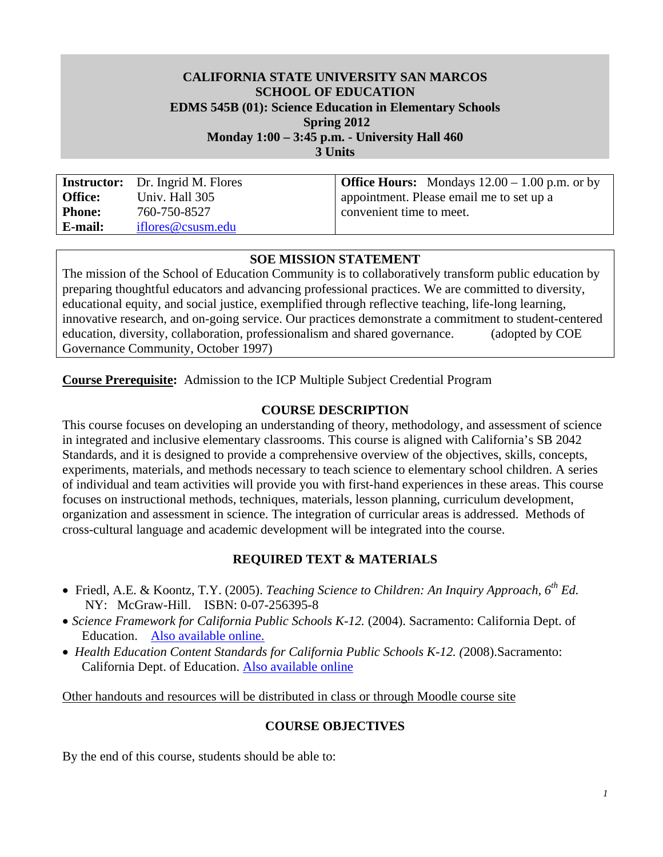#### **CALIFORNIA STATE UNIVERSITY SAN MARCOS SCHOOL OF EDUCATION EDMS 545B (01): Science Education in Elementary Schools Spring 2012**

**Monday 1:00 – 3:45 p.m. - University Hall 460** 

**3 Units** 

**Instructor: Office: Phone: E-mail:**  Dr. Ingrid M. Flores Univ. Hall 305 760-750-8527 iflores@csusm.edu

**Office Hours:** Mondays  $12.00 - 1.00$  p.m. or by appointment. Please email me to set up a convenient time to meet.

#### **SOE MISSION STATEMENT**

The mission of the School of Education Community is to collaboratively transform public education by preparing thoughtful educators and advancing professional practices. We are committed to diversity, educational equity, and social justice, exemplified through reflective teaching, life-long learning, innovative research, and on-going service. Our practices demonstrate a commitment to student-centered education, diversity, collaboration, professionalism and shared governance. (adopted by COE Governance Community, October 1997)

**Course Prerequisite:** Admission to the ICP Multiple Subject Credential Program

#### **COURSE DESCRIPTION**

This course focuses on developing an understanding of theory, methodology, and assessment of science in integrated and inclusive elementary classrooms. This course is aligned with California's SB 2042 Standards, and it is designed to provide a comprehensive overview of the objectives, skills, concepts, experiments, materials, and methods necessary to teach science to elementary school children. A series of individual and team activities will provide you with first-hand experiences in these areas. This course focuses on instructional methods, techniques, materials, lesson planning, curriculum development, organization and assessment in science. The integration of curricular areas is addressed. Methods of cross-cultural language and academic development will be integrated into the course.

#### **REQUIRED TEXT & MATERIALS**

- NY: McGraw-Hill. ISBN: 0-07-256395-8 Friedl, A.E. & Koontz, T.Y. (2005). *Teaching Science to Children: An Inquiry Approach, 6th Ed.*
- *Science Framework for California Public Schools K-12.* (2004). Sacramento: California Dept. of Education. Also available online.
- *Health Education Content Standards for California Public Schools K-12. (*2008).Sacramento: California Dept. of Education. Also available online

Other handouts and resources will be distributed in class or through Moodle course site

#### **COURSE OBJECTIVES**

By the end of this course, students should be able to: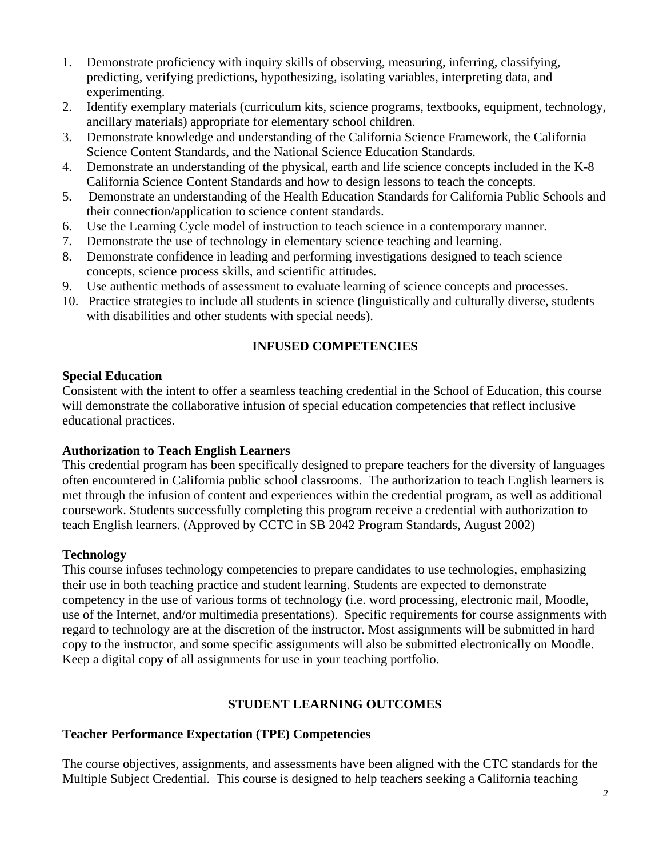- 1. Demonstrate proficiency with inquiry skills of observing, measuring, inferring, classifying, predicting, verifying predictions, hypothesizing, isolating variables, interpreting data, and experimenting.
- 2. Identify exemplary materials (curriculum kits, science programs, textbooks, equipment, technology, ancillary materials) appropriate for elementary school children.
- 3. Demonstrate knowledge and understanding of the California Science Framework, the California Science Content Standards, and the National Science Education Standards.
- 4. Demonstrate an understanding of the physical, earth and life science concepts included in the K-8 California Science Content Standards and how to design lessons to teach the concepts.
- 5. Demonstrate an understanding of the Health Education Standards for California Public Schools and their connection/application to science content standards.
- 6. Use the Learning Cycle model of instruction to teach science in a contemporary manner.
- 7. Demonstrate the use of technology in elementary science teaching and learning.
- 8. Demonstrate confidence in leading and performing investigations designed to teach science concepts, science process skills, and scientific attitudes.
- 9. Use authentic methods of assessment to evaluate learning of science concepts and processes.
- 10. Practice strategies to include all students in science (linguistically and culturally diverse, students with disabilities and other students with special needs).

# **INFUSED COMPETENCIES**

### **Special Education**

Consistent with the intent to offer a seamless teaching credential in the School of Education, this course will demonstrate the collaborative infusion of special education competencies that reflect inclusive educational practices.

## **Authorization to Teach English Learners**

This credential program has been specifically designed to prepare teachers for the diversity of languages often encountered in California public school classrooms. The authorization to teach English learners is met through the infusion of content and experiences within the credential program, as well as additional coursework. Students successfully completing this program receive a credential with authorization to teach English learners. (Approved by CCTC in SB 2042 Program Standards, August 2002)

#### **Technology**

This course infuses technology competencies to prepare candidates to use technologies, emphasizing their use in both teaching practice and student learning. Students are expected to demonstrate competency in the use of various forms of technology (i.e. word processing, electronic mail, Moodle, use of the Internet, and/or multimedia presentations). Specific requirements for course assignments with regard to technology are at the discretion of the instructor. Most assignments will be submitted in hard copy to the instructor, and some specific assignments will also be submitted electronically on Moodle. Keep a digital copy of all assignments for use in your teaching portfolio.

## **STUDENT LEARNING OUTCOMES**

## **Teacher Performance Expectation (TPE) Competencies**

The course objectives, assignments, and assessments have been aligned with the CTC standards for the Multiple Subject Credential. This course is designed to help teachers seeking a California teaching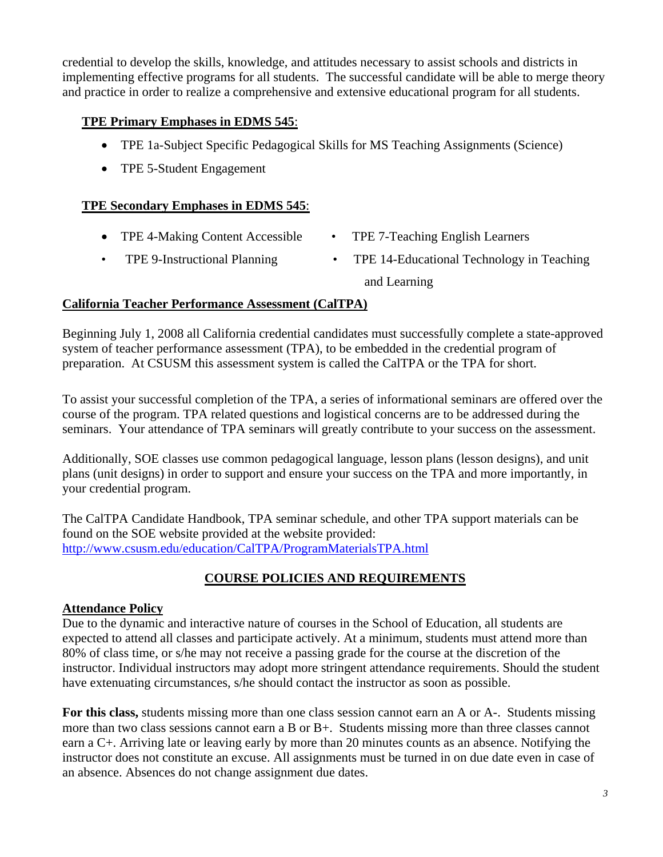credential to develop the skills, knowledge, and attitudes necessary to assist schools and districts in implementing effective programs for all students. The successful candidate will be able to merge theory and practice in order to realize a comprehensive and extensive educational program for all students.

## **TPE Primary Emphases in EDMS 545**:

- TPE 1a-Subject Specific Pedagogical Skills for MS Teaching Assignments (Science)
- TPE 5-Student Engagement

#### **TPE Secondary Emphases in EDMS 545**:

- TPE 4-Making Content Accessible TPE 7-Teaching English Learners
	-
- 
- TPE 9-Instructional Planning TPE 14-Educational Technology in Teaching and Learning

#### **California Teacher Performance Assessment (CalTPA)**

Beginning July 1, 2008 all California credential candidates must successfully complete a state-approved system of teacher performance assessment (TPA), to be embedded in the credential program of preparation. At CSUSM this assessment system is called the CalTPA or the TPA for short.

To assist your successful completion of the TPA, a series of informational seminars are offered over the course of the program. TPA related questions and logistical concerns are to be addressed during the seminars. Your attendance of TPA seminars will greatly contribute to your success on the assessment.

Additionally, SOE classes use common pedagogical language, lesson plans (lesson designs), and unit plans (unit designs) in order to support and ensure your success on the TPA and more importantly, in your credential program.

 http://www.csusm.edu/education/CalTPA/ProgramMaterialsTPA.html The CalTPA Candidate Handbook, TPA seminar schedule, and other TPA support materials can be found on the SOE website provided at the website provided:

## **COURSE POLICIES AND REQUIREMENTS**

#### **Attendance Policy**

Due to the dynamic and interactive nature of courses in the School of Education, all students are expected to attend all classes and participate actively. At a minimum, students must attend more than 80% of class time, or s/he may not receive a passing grade for the course at the discretion of the instructor. Individual instructors may adopt more stringent attendance requirements. Should the student have extenuating circumstances, s/he should contact the instructor as soon as possible.

**For this class,** students missing more than one class session cannot earn an A or A-. Students missing more than two class sessions cannot earn a B or B+. Students missing more than three classes cannot earn a C+. Arriving late or leaving early by more than 20 minutes counts as an absence. Notifying the instructor does not constitute an excuse. All assignments must be turned in on due date even in case of an absence. Absences do not change assignment due dates.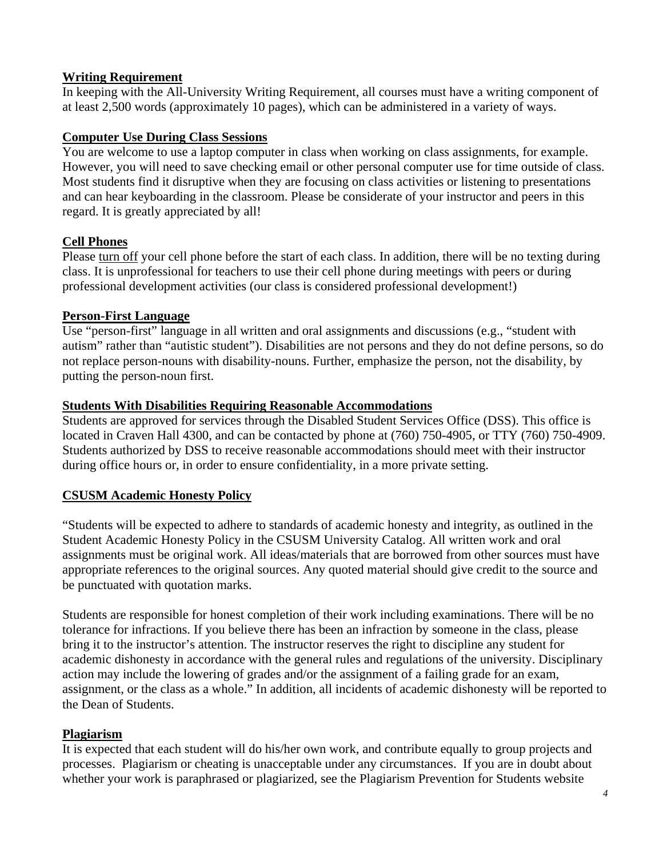### **Writing Requirement**

In keeping with the All-University Writing Requirement, all courses must have a writing component of at least 2,500 words (approximately 10 pages), which can be administered in a variety of ways.

### **Computer Use During Class Sessions**

You are welcome to use a laptop computer in class when working on class assignments, for example. However, you will need to save checking email or other personal computer use for time outside of class. Most students find it disruptive when they are focusing on class activities or listening to presentations and can hear keyboarding in the classroom. Please be considerate of your instructor and peers in this regard. It is greatly appreciated by all!

### **Cell Phones**

Please turn off your cell phone before the start of each class. In addition, there will be no texting during class. It is unprofessional for teachers to use their cell phone during meetings with peers or during professional development activities (our class is considered professional development!)

#### **Person-First Language**

Use "person-first" language in all written and oral assignments and discussions (e.g., "student with autism" rather than "autistic student"). Disabilities are not persons and they do not define persons, so do not replace person-nouns with disability-nouns. Further, emphasize the person, not the disability, by putting the person-noun first.

### **Students With Disabilities Requiring Reasonable Accommodations**

Students are approved for services through the Disabled Student Services Office (DSS). This office is located in Craven Hall 4300, and can be contacted by phone at (760) 750-4905, or TTY (760) 750-4909. Students authorized by DSS to receive reasonable accommodations should meet with their instructor during office hours or, in order to ensure confidentiality, in a more private setting.

## **CSUSM Academic Honesty Policy**

"Students will be expected to adhere to standards of academic honesty and integrity, as outlined in the Student Academic Honesty Policy in the CSUSM University Catalog. All written work and oral assignments must be original work. All ideas/materials that are borrowed from other sources must have appropriate references to the original sources. Any quoted material should give credit to the source and be punctuated with quotation marks.

Students are responsible for honest completion of their work including examinations. There will be no tolerance for infractions. If you believe there has been an infraction by someone in the class, please bring it to the instructor's attention. The instructor reserves the right to discipline any student for academic dishonesty in accordance with the general rules and regulations of the university. Disciplinary action may include the lowering of grades and/or the assignment of a failing grade for an exam, assignment, or the class as a whole." In addition, all incidents of academic dishonesty will be reported to the Dean of Students.

## **Plagiarism**

It is expected that each student will do his/her own work, and contribute equally to group projects and processes. Plagiarism or cheating is unacceptable under any circumstances. If you are in doubt about whether your work is paraphrased or plagiarized, see the Plagiarism Prevention for Students website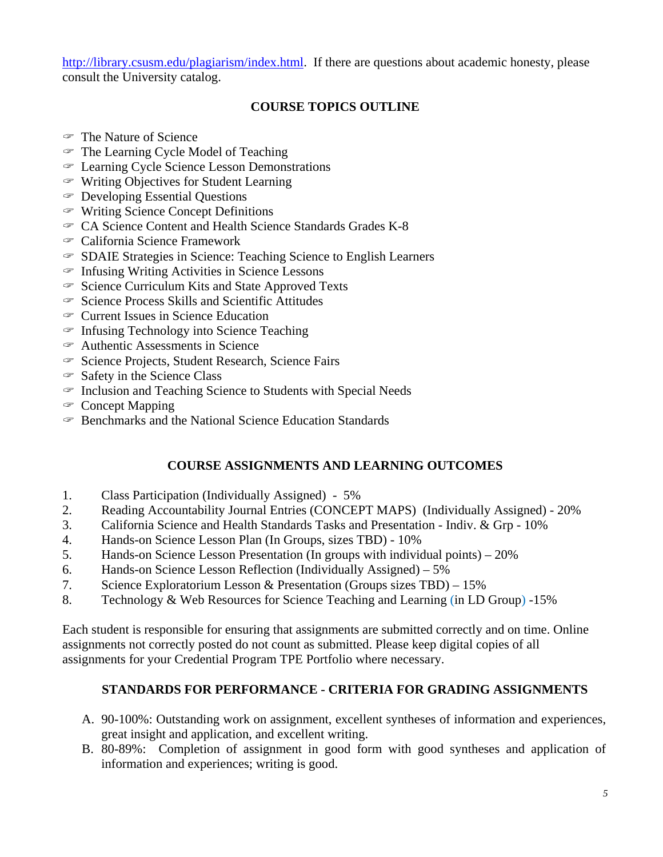http://library.csusm.edu/plagiarism/index.html. If there are questions about academic honesty, please consult the University catalog.

## **COURSE TOPICS OUTLINE**

- The Nature of Science
- The Learning Cycle Model of Teaching
- Learning Cycle Science Lesson Demonstrations
- Writing Objectives for Student Learning
- Developing Essential Questions
- Writing Science Concept Definitions
- CA Science Content and Health Science Standards Grades K-8
- California Science Framework
- SDAIE Strategies in Science: Teaching Science to English Learners
- $\in$  Infusing Writing Activities in Science Lessons
- $\degree$  Science Curriculum Kits and State Approved Texts
- $\in$  Science Process Skills and Scientific Attitudes
- Current Issues in Science Education
- $\in$  Infusing Technology into Science Teaching
- Authentic Assessments in Science
- $\mathcal S$  Science Projects, Student Research, Science Fairs
- Safety in the Science Class
- $\mathcal F$  Inclusion and Teaching Science to Students with Special Needs
- $\infty$  Concept Mapping
- $\mathcal P$  Benchmarks and the National Science Education Standards

#### **COURSE ASSIGNMENTS AND LEARNING OUTCOMES**

- 1. Class Participation (Individually Assigned) 5%
- 2. Reading Accountability Journal Entries (CONCEPT MAPS) (Individually Assigned) 20%
- 3. California Science and Health Standards Tasks and Presentation Indiv. & Grp 10%
- 4. Hands-on Science Lesson Plan (In Groups, sizes TBD) 10%
- 5. Hands-on Science Lesson Presentation (In groups with individual points) 20%
- 6. Hands-on Science Lesson Reflection (Individually Assigned) 5%
- 7. Science Exploratorium Lesson & Presentation (Groups sizes TBD) 15%
- 8. Technology & Web Resources for Science Teaching and Learning (in LD Group) -15%

Each student is responsible for ensuring that assignments are submitted correctly and on time. Online assignments not correctly posted do not count as submitted. Please keep digital copies of all assignments for your Credential Program TPE Portfolio where necessary.

#### **STANDARDS FOR PERFORMANCE - CRITERIA FOR GRADING ASSIGNMENTS**

- A. 90-100%: Outstanding work on assignment, excellent syntheses of information and experiences, great insight and application, and excellent writing.
- B. 80-89%: Completion of assignment in good form with good syntheses and application of information and experiences; writing is good.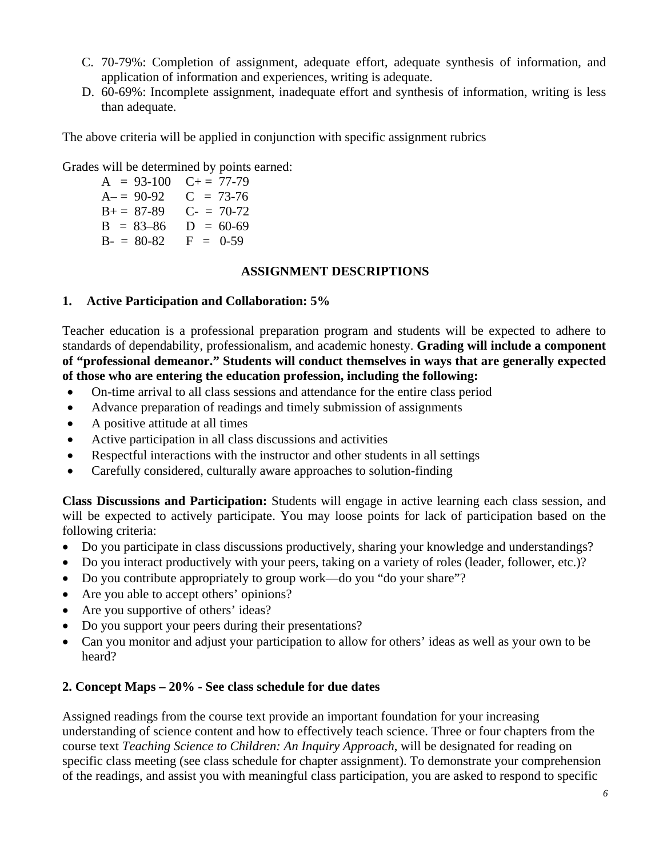- C. 70-79%: Completion of assignment, adequate effort, adequate synthesis of information, and application of information and experiences, writing is adequate.
- D. 60-69%: Incomplete assignment, inadequate effort and synthesis of information, writing is less than adequate.

The above criteria will be applied in conjunction with specific assignment rubrics

Grades will be determined by points earned:<br> $A = 93-100 \quad C+= 77-79$ 

 $B- = 80-82$   $F = 0-59$ A– =  $90-92$  C = 73-76<br>B+ =  $87-89$  C- =  $70-72$  $B = 87-89$  $B = 83-86$   $D = 60-69$ 

#### **ASSIGNMENT DESCRIPTIONS**

#### **1. Active Participation and Collaboration: 5%**

Teacher education is a professional preparation program and students will be expected to adhere to standards of dependability, professionalism, and academic honesty. **Grading will include a component of "professional demeanor." Students will conduct themselves in ways that are generally expected of those who are entering the education profession, including the following:** 

- On-time arrival to all class sessions and attendance for the entire class period
- Advance preparation of readings and timely submission of assignments
- A positive attitude at all times
- Active participation in all class discussions and activities
- Respectful interactions with the instructor and other students in all settings
- Carefully considered, culturally aware approaches to solution-finding

**Class Discussions and Participation:** Students will engage in active learning each class session, and will be expected to actively participate. You may loose points for lack of participation based on the following criteria:

- Do you participate in class discussions productively, sharing your knowledge and understandings?
- Do you interact productively with your peers, taking on a variety of roles (leader, follower, etc.)?
- Do you contribute appropriately to group work—do you "do your share"?
- Are you able to accept others' opinions?
- Are you supportive of others' ideas?
- Do you support your peers during their presentations?
- Can you monitor and adjust your participation to allow for others' ideas as well as your own to be heard?

#### **2. Concept Maps – 20% - See class schedule for due dates**

Assigned readings from the course text provide an important foundation for your increasing understanding of science content and how to effectively teach science. Three or four chapters from the course text *Teaching Science to Children: An Inquiry Approach*, will be designated for reading on specific class meeting (see class schedule for chapter assignment). To demonstrate your comprehension of the readings, and assist you with meaningful class participation, you are asked to respond to specific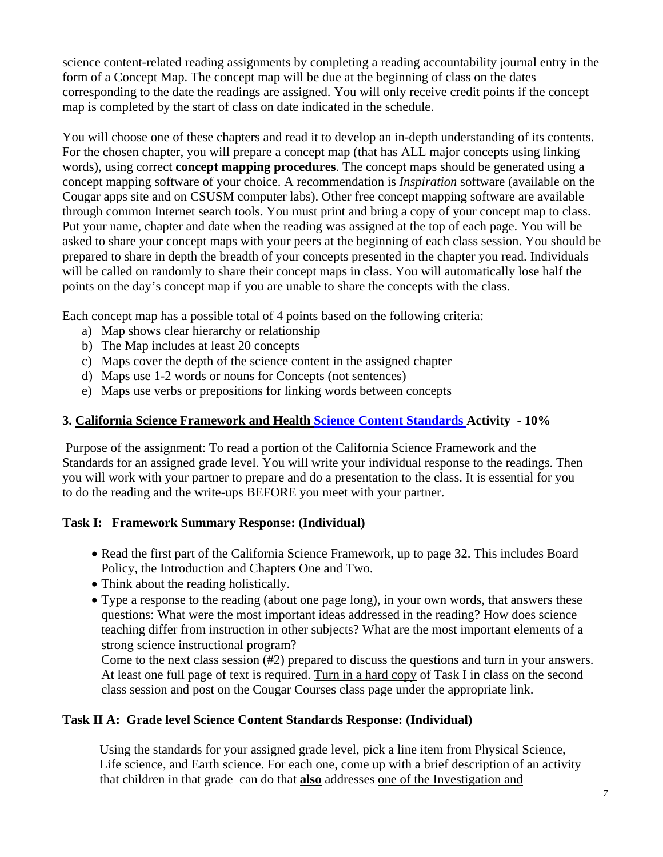map is completed by the start of class on date indicated in the schedule. science content-related reading assignments by completing a reading accountability journal entry in the form of a Concept Map. The concept map will be due at the beginning of class on the dates corresponding to the date the readings are assigned. You will only receive credit points if the concept

You will choose one of these chapters and read it to develop an in-depth understanding of its contents. For the chosen chapter, you will prepare a concept map (that has ALL major concepts using linking words), using correct **concept mapping procedures**. The concept maps should be generated using a concept mapping software of your choice. A recommendation is *Inspiration* software (available on the Cougar apps site and on CSUSM computer labs). Other free concept mapping software are available through common Internet search tools. You must print and bring a copy of your concept map to class. Put your name, chapter and date when the reading was assigned at the top of each page. You will be asked to share your concept maps with your peers at the beginning of each class session. You should be prepared to share in depth the breadth of your concepts presented in the chapter you read. Individuals will be called on randomly to share their concept maps in class. You will automatically lose half the points on the day's concept map if you are unable to share the concepts with the class.

Each concept map has a possible total of 4 points based on the following criteria:

- a) Map shows clear hierarchy or relationship
- b) The Map includes at least 20 concepts
- c) Maps cover the depth of the science content in the assigned chapter
- d) Maps use 1-2 words or nouns for Concepts (not sentences)
- e) Maps use verbs or prepositions for linking words between concepts

### **3. California Science Framework and Health Science Content Standards Activity - 10%**

 Purpose of the assignment: To read a portion of the California Science Framework and the Standards for an assigned grade level. You will write your individual response to the readings. Then you will work with your partner to prepare and do a presentation to the class. It is essential for you to do the reading and the write-ups BEFORE you meet with your partner.

## **Task I: Framework Summary Response: (Individual)**

- Read the first part of the California Science Framework, up to page 32. This includes Board Policy, the Introduction and Chapters One and Two.
- Think about the reading holistically.
- Type a response to the reading (about one page long), in your own words, that answers these questions: What were the most important ideas addressed in the reading? How does science teaching differ from instruction in other subjects? What are the most important elements of a strong science instructional program?

Come to the next class session (#2) prepared to discuss the questions and turn in your answers. At least one full page of text is required. Turn in a hard copy of Task I in class on the second class session and post on the Cougar Courses class page under the appropriate link.

## **Task II A: Grade level Science Content Standards Response: (Individual)**

Using the standards for your assigned grade level, pick a line item from Physical Science, Life science, and Earth science. For each one, come up with a brief description of an activity that children in that grade can do that **also** addresses one of the Investigation and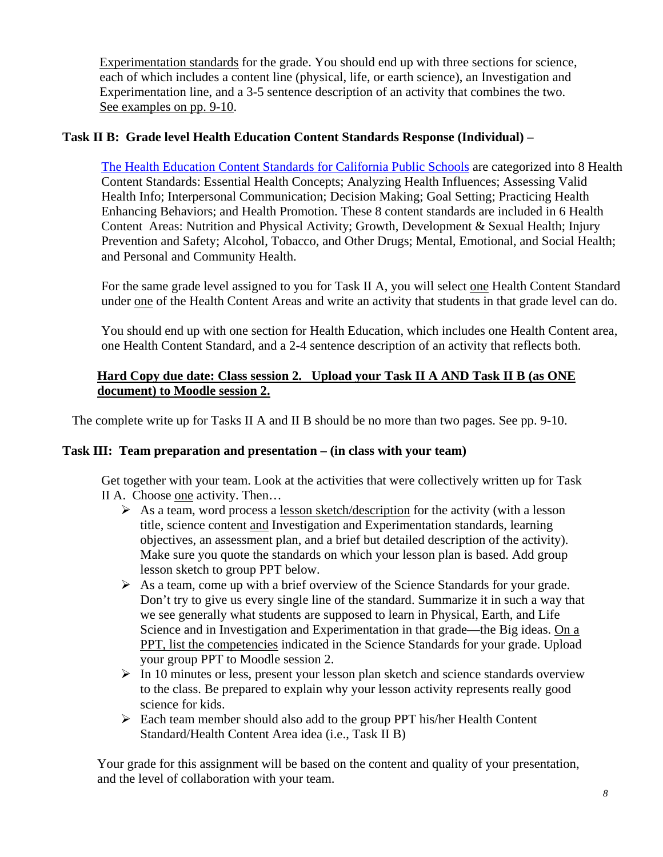Experimentation standards for the grade. You should end up with three sections for science, each of which includes a content line (physical, life, or earth science), an Investigation and Experimentation line, and a 3-5 sentence description of an activity that combines the two. See examples on pp. 9-10.

### **Task II B: Grade level Health Education Content Standards Response (Individual) –**

The Health Education Content Standards for California Public Schools are categorized into 8 Health Content Standards: Essential Health Concepts; Analyzing Health Influences; Assessing Valid Health Info; Interpersonal Communication; Decision Making; Goal Setting; Practicing Health Enhancing Behaviors; and Health Promotion. These 8 content standards are included in 6 Health Content Areas: Nutrition and Physical Activity; Growth, Development & Sexual Health; Injury Prevention and Safety; Alcohol, Tobacco, and Other Drugs; Mental, Emotional, and Social Health; and Personal and Community Health.

For the same grade level assigned to you for Task II A, you will select one Health Content Standard under one of the Health Content Areas and write an activity that students in that grade level can do.

You should end up with one section for Health Education, which includes one Health Content area, one Health Content Standard, and a 2-4 sentence description of an activity that reflects both.

### **Hard Copy due date: Class session 2. Upload your Task II A AND Task II B (as ONE document) to Moodle session 2.**

The complete write up for Tasks II A and II B should be no more than two pages. See pp. 9-10.

#### **Task III: Team preparation and presentation – (in class with your team)**

Get together with your team. Look at the activities that were collectively written up for Task II A. Choose one activity. Then…

- $\triangleright$  As a team, word process a lesson sketch/description for the activity (with a lesson title, science content and Investigation and Experimentation standards, learning objectives, an assessment plan, and a brief but detailed description of the activity). Make sure you quote the standards on which your lesson plan is based. Add group lesson sketch to group PPT below.
- $\triangleright$  As a team, come up with a brief overview of the Science Standards for your grade. Don't try to give us every single line of the standard. Summarize it in such a way that we see generally what students are supposed to learn in Physical, Earth, and Life Science and in Investigation and Experimentation in that grade—the Big ideas. On a PPT, list the competencies indicated in the Science Standards for your grade. Upload your group PPT to Moodle session 2.
- $\triangleright$  In 10 minutes or less, present your lesson plan sketch and science standards overview to the class. Be prepared to explain why your lesson activity represents really good science for kids.
- $\triangleright$  Each team member should also add to the group PPT his/her Health Content Standard/Health Content Area idea (i.e., Task II B)

Your grade for this assignment will be based on the content and quality of your presentation, and the level of collaboration with your team.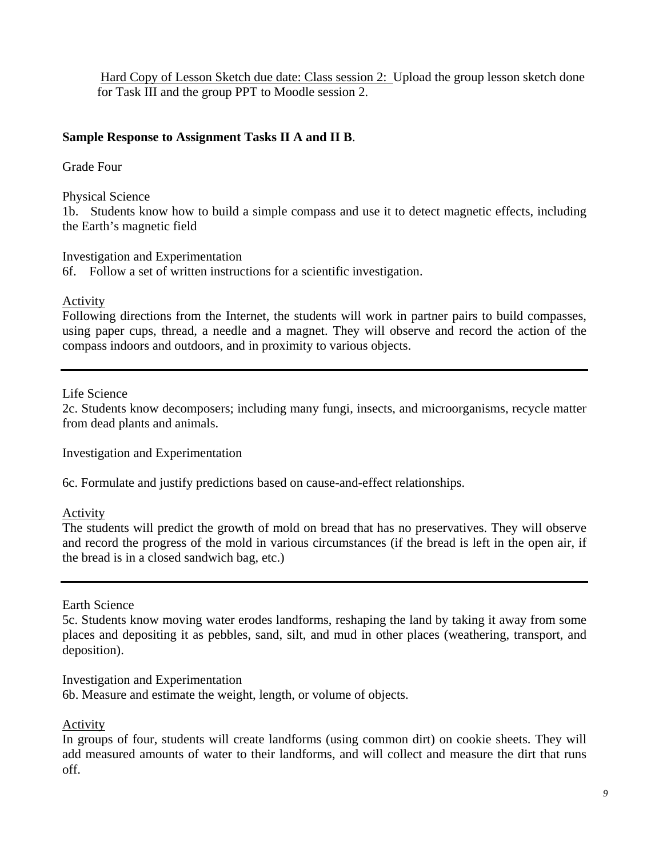Hard Copy of Lesson Sketch due date: Class session 2: Upload the group lesson sketch done for Task III and the group PPT to Moodle session 2.

### **Sample Response to Assignment Tasks II A and II B**.

Grade Four

Physical Science

1b. Students know how to build a simple compass and use it to detect magnetic effects, including the Earth's magnetic field

Investigation and Experimentation

6f. Follow a set of written instructions for a scientific investigation.

Activity

Following directions from the Internet, the students will work in partner pairs to build compasses, using paper cups, thread, a needle and a magnet. They will observe and record the action of the compass indoors and outdoors, and in proximity to various objects.

Life Science

2c. Students know decomposers; including many fungi, insects, and microorganisms, recycle matter from dead plants and animals.

Investigation and Experimentation

6c. Formulate and justify predictions based on cause-and-effect relationships.

Activity

The students will predict the growth of mold on bread that has no preservatives. They will observe and record the progress of the mold in various circumstances (if the bread is left in the open air, if the bread is in a closed sandwich bag, etc.)

Earth Science

5c. Students know moving water erodes landforms, reshaping the land by taking it away from some places and depositing it as pebbles, sand, silt, and mud in other places (weathering, transport, and deposition).

Investigation and Experimentation 6b. Measure and estimate the weight, length, or volume of objects.

**Activity** 

In groups of four, students will create landforms (using common dirt) on cookie sheets. They will add measured amounts of water to their landforms, and will collect and measure the dirt that runs off.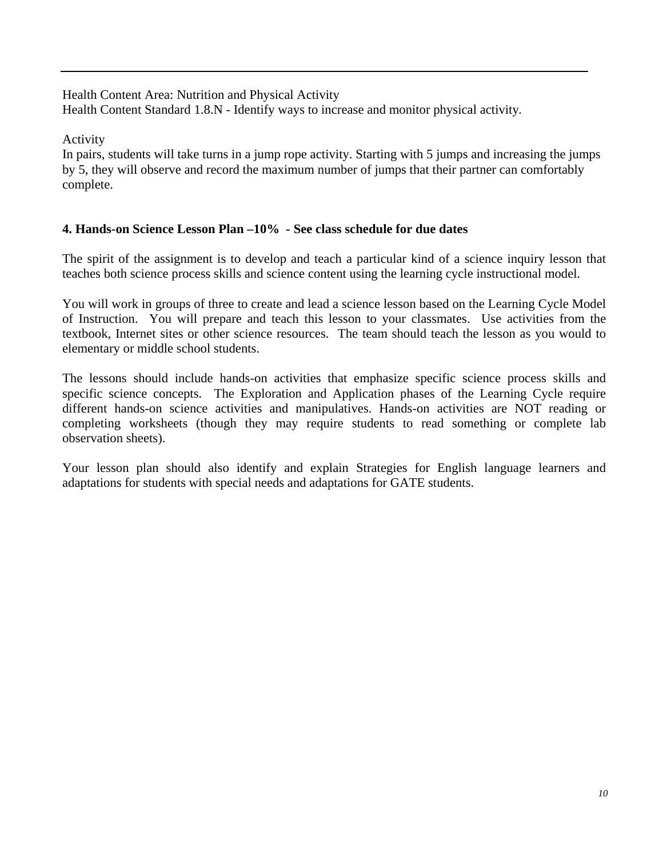Health Content Area: Nutrition and Physical Activity Health Content Standard 1.8.N - Identify ways to increase and monitor physical activity*.* 

Activity

In pairs, students will take turns in a jump rope activity. Starting with 5 jumps and increasing the jumps by 5, they will observe and record the maximum number of jumps that their partner can comfortably complete.

## **4. Hands-on Science Lesson Plan –10%** *-* **See class schedule for due dates**

The spirit of the assignment is to develop and teach a particular kind of a science inquiry lesson that teaches both science process skills and science content using the learning cycle instructional model.

You will work in groups of three to create and lead a science lesson based on the Learning Cycle Model of Instruction. You will prepare and teach this lesson to your classmates. Use activities from the textbook, Internet sites or other science resources. The team should teach the lesson as you would to elementary or middle school students.

The lessons should include hands-on activities that emphasize specific science process skills and specific science concepts. The Exploration and Application phases of the Learning Cycle require different hands-on science activities and manipulatives. Hands-on activities are NOT reading or completing worksheets (though they may require students to read something or complete lab observation sheets).

Your lesson plan should also identify and explain Strategies for English language learners and adaptations for students with special needs and adaptations for GATE students.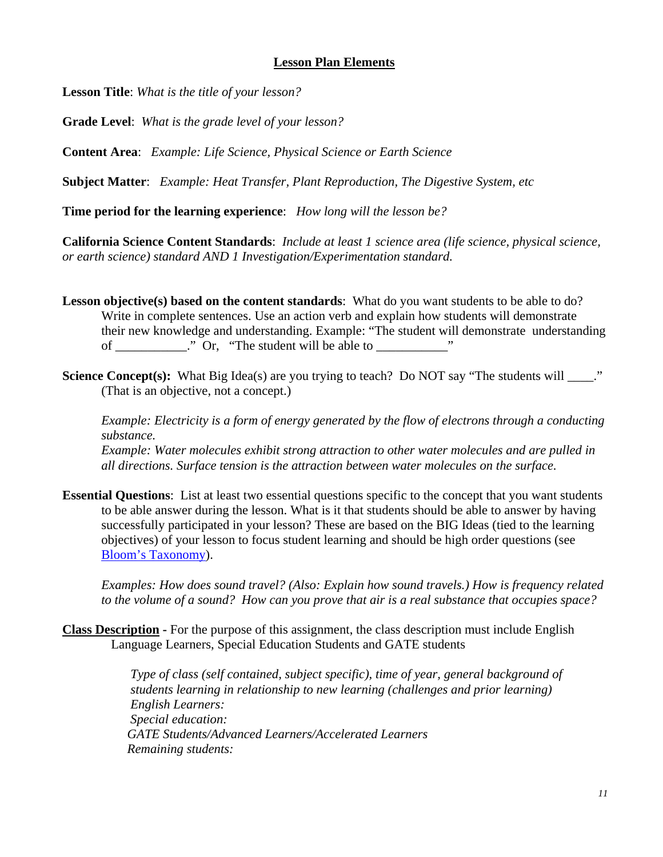#### **Lesson Plan Elements**

**Lesson Title**: *What is the title of your lesson?* 

**Grade Level**: *What is the grade level of your lesson?* 

**Content Area**: *Example: Life Science, Physical Science or Earth Science* 

**Subject Matter**: *Example: Heat Transfer, Plant Reproduction, The Digestive System, etc* 

**Time period for the learning experience**: *How long will the lesson be?* 

**California Science Content Standards**: *Include at least 1 science area (life science, physical science, or earth science) standard AND 1 Investigation/Experimentation standard.* 

**Lesson objective(s) based on the content standards**: What do you want students to be able to do? Write in complete sentences. Use an action verb and explain how students will demonstrate their new knowledge and understanding. Example: "The student will demonstrate understanding of \_\_\_\_\_\_\_\_\_\_." Or, "The student will be able to \_\_\_\_\_\_\_\_\_\_\_\_"

Science Concept(s): What Big Idea(s) are you trying to teach? Do NOT say "The students will  $\therefore$ " (That is an objective, not a concept.)

*Example: Electricity is a form of energy generated by the flow of electrons through a conducting substance. Example: Water molecules exhibit strong attraction to other water molecules and are pulled in all directions. Surface tension is the attraction between water molecules on the surface.* 

**Essential Questions**: List at least two essential questions specific to the concept that you want students to be able answer during the lesson. What is it that students should be able to answer by having successfully participated in your lesson? These are based on the BIG Ideas (tied to the learning objectives) of your lesson to focus student learning and should be high order questions (see Bloom's Taxonomy).

*Examples: How does sound travel? (Also: Explain how sound travels.) How is frequency related to the volume of a sound? How can you prove that air is a real substance that occupies space?* 

**Class Description -** For the purpose of this assignment, the class description must include English Language Learners, Special Education Students and GATE students

> *students learning in relationship to new learning (challenges and prior learning) Type of class (self contained, subject specific), time of year, general background of English Learners: Special education: GATE Students/Advanced Learners/Accelerated Learners Remaining students:*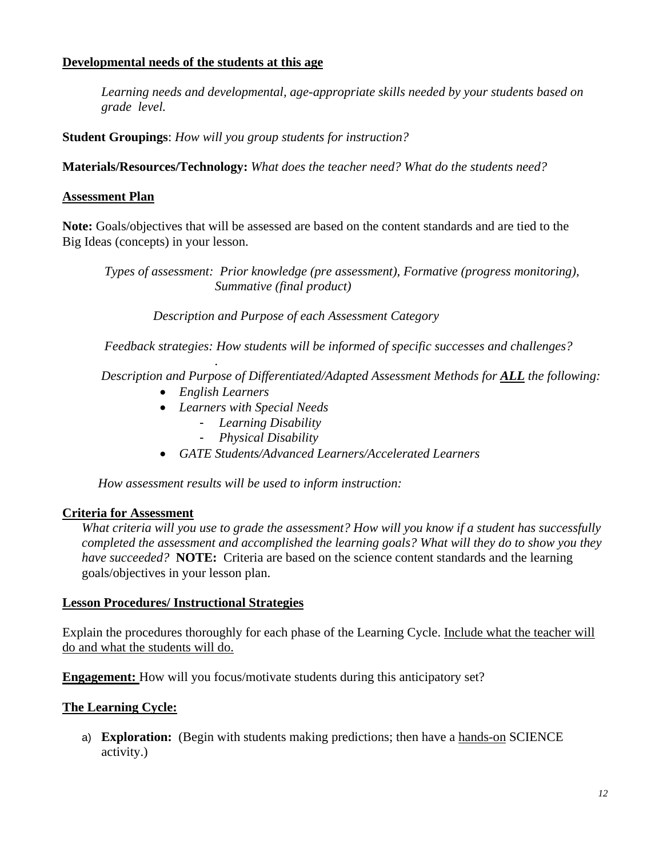#### **Developmental needs of the students at this age**

*Learning needs and developmental, age-appropriate skills needed by your students based on grade level.* 

**Student Groupings**: *How will you group students for instruction?* 

**Materials/Resources/Technology:** *What does the teacher need? What do the students need?* 

### **Assessment Plan**

**Note:** Goals/objectives that will be assessed are based on the content standards and are tied to the Big Ideas (concepts) in your lesson.

*Types of assessment: Prior knowledge (pre assessment), Formative (progress monitoring), Summative (final product)* 

 *Description and Purpose of each Assessment Category* 

 *Feedback strategies: How students will be informed of specific successes and challenges?* 

 *Description and Purpose of Differentiated/Adapted Assessment Methods for ALL the following:* 

*English Learners* 

*.* 

- *Learners with Special Needs* 
	- *Learning Disability* 
		- *Physical Disability*
- *GATE Students/Advanced Learners/Accelerated Learners*

 *How assessment results will be used to inform instruction:* 

#### **Criteria for Assessment**

 *have succeeded?* **NOTE:** Criteria are based on the science content standards and the learning *What criteria will you use to grade the assessment? How will you know if a student has successfully completed the assessment and accomplished the learning goals? What will they do to show you they*  goals/objectives in your lesson plan.

#### **Lesson Procedures/ Instructional Strategies**

 do and what the students will do. Explain the procedures thoroughly for each phase of the Learning Cycle. Include what the teacher will

**Engagement:** How will you focus/motivate students during this anticipatory set?

## **The Learning Cycle:**

a) **Exploration:** (Begin with students making predictions; then have a hands-on SCIENCE activity.)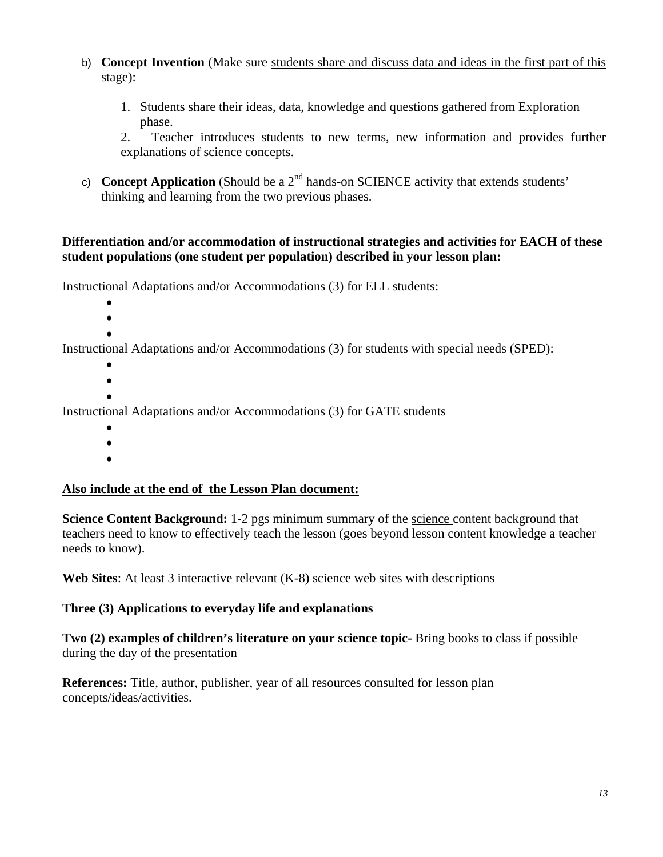- b) **Concept Invention** (Make sure students share and discuss data and ideas in the first part of this stage):
	- 1. Students share their ideas, data, knowledge and questions gathered from Exploration phase.

2. Teacher introduces students to new terms, new information and provides further explanations of science concepts.

c) **Concept Application** (Should be a  $2<sup>nd</sup>$  hands-on SCIENCE activity that extends students' thinking and learning from the two previous phases.

#### **Differentiation and/or accommodation of instructional strategies and activities for EACH of these student populations (one student per population) described in your lesson plan:**

Instructional Adaptations and/or Accommodations (3) for ELL students:

- $\bullet$
- $\bullet$
- $\bullet$

Instructional Adaptations and/or Accommodations (3) for students with special needs (SPED):

- $\bullet$
- $\bullet$
- $\bullet$

Instructional Adaptations and/or Accommodations (3) for GATE students

- $\bullet$
- $\bullet$
- $\bullet$

#### **Also include at the end of the Lesson Plan document:**

**Science Content Background:** 1-2 pgs minimum summary of the science content background that teachers need to know to effectively teach the lesson (goes beyond lesson content knowledge a teacher needs to know).

Web Sites: At least 3 interactive relevant (K-8) science web sites with descriptions

#### Three (3) Applications to everyday life and explanations

**Two (2) examples of children's literature on your science topic-** Bring books to class if possible during the day of the presentation

**References:** Title, author, publisher, year of all resources consulted for lesson plan concepts/ideas/activities.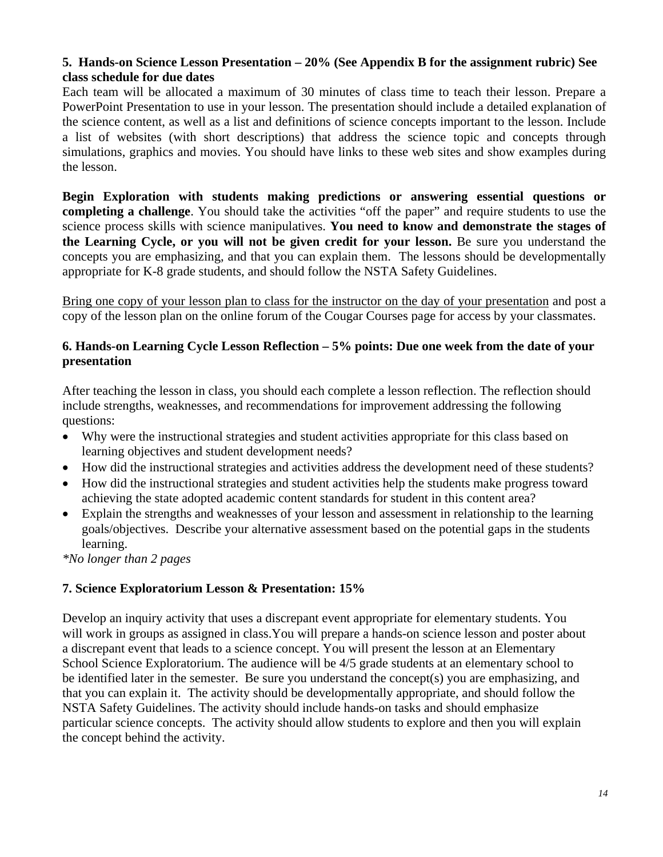### **5. Hands-on Science Lesson Presentation – 20% (See Appendix B for the assignment rubric) See class schedule for due dates**

Each team will be allocated a maximum of 30 minutes of class time to teach their lesson. Prepare a PowerPoint Presentation to use in your lesson. The presentation should include a detailed explanation of the science content, as well as a list and definitions of science concepts important to the lesson. Include a list of websites (with short descriptions) that address the science topic and concepts through simulations, graphics and movies. You should have links to these web sites and show examples during the lesson.

**Begin Exploration with students making predictions or answering essential questions or completing a challenge**. You should take the activities "off the paper" and require students to use the science process skills with science manipulatives. **You need to know and demonstrate the stages of the Learning Cycle, or you will not be given credit for your lesson.** Be sure you understand the concepts you are emphasizing, and that you can explain them. The lessons should be developmentally appropriate for K-8 grade students, and should follow the NSTA Safety Guidelines.

Bring one copy of your lesson plan to class for the instructor on the day of your presentation and post a copy of the lesson plan on the online forum of the Cougar Courses page for access by your classmates.

#### **6. Hands-on Learning Cycle Lesson Reflection – 5% points: Due one week from the date of your presentation**

After teaching the lesson in class, you should each complete a lesson reflection. The reflection should include strengths, weaknesses, and recommendations for improvement addressing the following questions:

- Why were the instructional strategies and student activities appropriate for this class based on learning objectives and student development needs?
- How did the instructional strategies and activities address the development need of these students?
- How did the instructional strategies and student activities help the students make progress toward achieving the state adopted academic content standards for student in this content area?
- Explain the strengths and weaknesses of your lesson and assessment in relationship to the learning goals/objectives. Describe your alternative assessment based on the potential gaps in the students learning.

*\*No longer than 2 pages* 

#### **7. Science Exploratorium Lesson & Presentation: 15%**

Develop an inquiry activity that uses a discrepant event appropriate for elementary students. You will work in groups as assigned in class. You will prepare a hands-on science lesson and poster about a discrepant event that leads to a science concept. You will present the lesson at an Elementary School Science Exploratorium. The audience will be 4/5 grade students at an elementary school to be identified later in the semester. Be sure you understand the concept(s) you are emphasizing, and that you can explain it. The activity should be developmentally appropriate, and should follow the NSTA Safety Guidelines. The activity should include hands-on tasks and should emphasize particular science concepts. The activity should allow students to explore and then you will explain the concept behind the activity.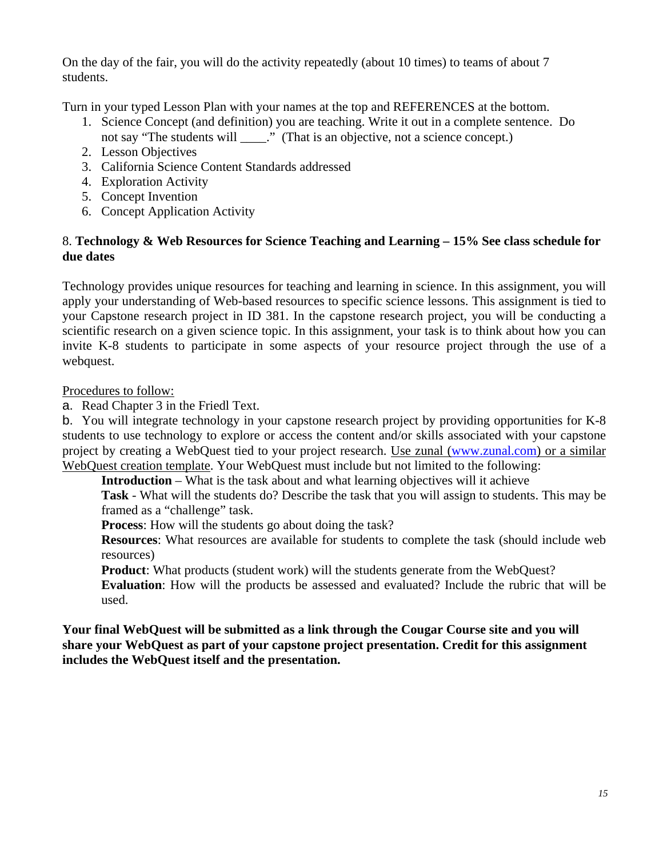On the day of the fair, you will do the activity repeatedly (about 10 times) to teams of about 7 students.

Turn in your typed Lesson Plan with your names at the top and REFERENCES at the bottom.

- 1. Science Concept (and definition) you are teaching. Write it out in a complete sentence. Do not say "The students will \_\_\_\_\_." (That is an objective, not a science concept.)
- 2. Lesson Objectives
- 3. California Science Content Standards addressed
- 4. Exploration Activity
- 5. Concept Invention
- 6. Concept Application Activity

### 8. **Technology & Web Resources for Science Teaching and Learning – 15% See class schedule for due dates**

Technology provides unique resources for teaching and learning in science. In this assignment, you will apply your understanding of Web-based resources to specific science lessons. This assignment is tied to your Capstone research project in ID 381. In the capstone research project, you will be conducting a scientific research on a given science topic. In this assignment, your task is to think about how you can invite K-8 students to participate in some aspects of your resource project through the use of a webquest.

Procedures to follow:

a. Read Chapter 3 in the Friedl Text.

b. You will integrate technology in your capstone research project by providing opportunities for K-8 students to use technology to explore or access the content and/or skills associated with your capstone project by creating a WebQuest tied to your project research. Use zunal (www.zunal.com) or a similar WebQuest creation template. Your WebQuest must include but not limited to the following:

**Introduction** – What is the task about and what learning objectives will it achieve

**Task** - What will the students do? Describe the task that you will assign to students. This may be framed as a "challenge" task.

**Process**: How will the students go about doing the task?

**Resources**: What resources are available for students to complete the task (should include web resources)

**Product**: What products (student work) will the students generate from the WebQuest?

**Evaluation**: How will the products be assessed and evaluated? Include the rubric that will be used.

**Your final WebQuest will be submitted as a link through the Cougar Course site and you will share your WebQuest as part of your capstone project presentation. Credit for this assignment includes the WebQuest itself and the presentation.**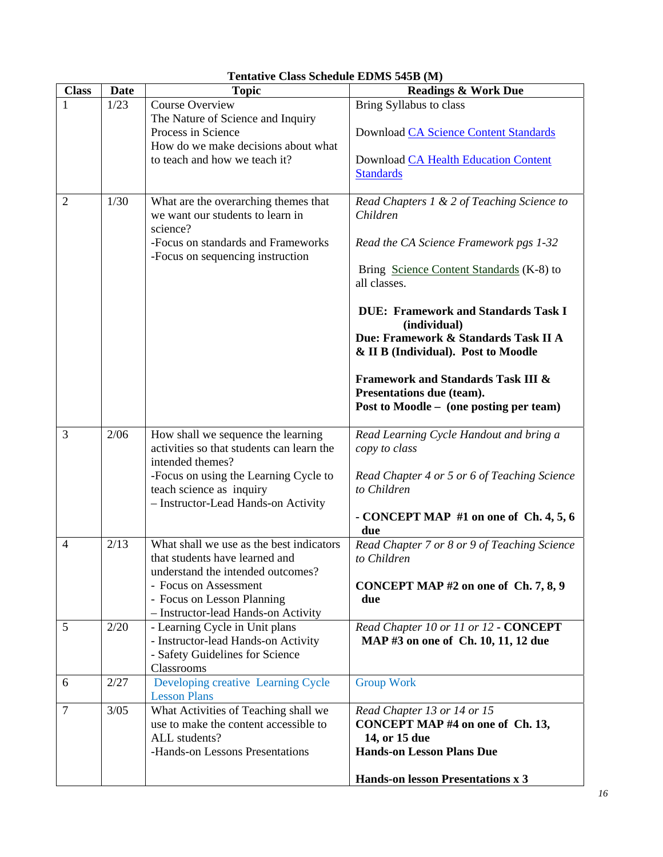| <b>Class</b>   | <b>Date</b> | <b>Topic</b>                                                                                                                      | <b>Readings &amp; Work Due</b>                                                                                        |
|----------------|-------------|-----------------------------------------------------------------------------------------------------------------------------------|-----------------------------------------------------------------------------------------------------------------------|
|                | 1/23        | Course Overview                                                                                                                   | Bring Syllabus to class                                                                                               |
|                |             | The Nature of Science and Inquiry<br>Process in Science<br>How do we make decisions about what                                    | Download CA Science Content Standards                                                                                 |
|                |             | to teach and how we teach it?                                                                                                     | Download CA Health Education Content<br><b>Standards</b>                                                              |
| $\overline{2}$ | 1/30        | What are the overarching themes that<br>we want our students to learn in<br>science?                                              | Read Chapters 1 & 2 of Teaching Science to<br>Children                                                                |
|                |             | -Focus on standards and Frameworks<br>-Focus on sequencing instruction                                                            | Read the CA Science Framework pgs 1-32                                                                                |
|                |             |                                                                                                                                   | Bring Science Content Standards (K-8) to<br>all classes.                                                              |
|                |             |                                                                                                                                   | <b>DUE: Framework and Standards Task I</b><br>(individual)                                                            |
|                |             |                                                                                                                                   | Due: Framework & Standards Task II A<br>& II B (Individual). Post to Moodle                                           |
|                |             |                                                                                                                                   | <b>Framework and Standards Task III &amp;</b><br>Presentations due (team).<br>Post to Moodle - (one posting per team) |
| 3              | 2/06        | How shall we sequence the learning<br>activities so that students can learn the<br>intended themes?                               | Read Learning Cycle Handout and bring a<br>copy to class                                                              |
|                |             | -Focus on using the Learning Cycle to<br>teach science as inquiry<br>- Instructor-Lead Hands-on Activity                          | Read Chapter 4 or 5 or 6 of Teaching Science<br>to Children                                                           |
|                |             |                                                                                                                                   | - CONCEPT MAP $#1$ on one of Ch. 4, 5, 6<br>due                                                                       |
| 4              | 2/13        | What shall we use as the best indicators<br>that students have learned and                                                        | Read Chapter 7 or 8 or 9 of Teaching Science<br>to Children                                                           |
|                |             | understand the intended outcomes?<br>- Focus on Assessment<br>- Focus on Lesson Planning<br>- Instructor-lead Hands-on Activity   | CONCEPT MAP #2 on one of Ch. 7, 8, 9<br>due                                                                           |
| 5              | 2/20        | - Learning Cycle in Unit plans<br>- Instructor-lead Hands-on Activity<br>- Safety Guidelines for Science<br>Classrooms            | Read Chapter 10 or 11 or 12 - CONCEPT<br>MAP #3 on one of Ch. 10, 11, 12 due                                          |
| 6              | 2/27        | Developing creative Learning Cycle<br><b>Lesson Plans</b>                                                                         | <b>Group Work</b>                                                                                                     |
| $\tau$         | 3/05        | What Activities of Teaching shall we<br>use to make the content accessible to<br>ALL students?<br>-Hands-on Lessons Presentations | Read Chapter 13 or 14 or 15<br>CONCEPT MAP #4 on one of Ch. 13,<br>14, or 15 due<br><b>Hands-on Lesson Plans Due</b>  |
|                |             |                                                                                                                                   | Hands-on lesson Presentations x 3                                                                                     |

#### **Tentative Class Schedule EDMS 545B (M)**